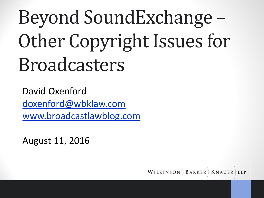# Beyond SoundExchange – Other Copyright Issues for Broadcasters

David Oxenford [doxenford@wbklaw.com](mailto:doxenford@wbklaw.com) [www.broadcastlawblog.com](http://www.broadcastlawblog.com/)

August 11, 2016dcastlawblog.com

WILKINSON BARKER | KNAUER LLP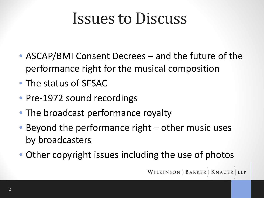#### Issues to Discuss

- ASCAP/BMI Consent Decrees and the future of the performance right for the musical composition
- The status of SESAC
- Pre-1972 sound recordings
- The broadcast performance royalty
- Beyond the performance right other music uses by broadcasters
- Other copyright issues including the use of photos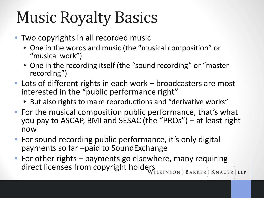#### Music Royalty Basics

- Two copyrights in all recorded music
	- One in the words and music (the "musical composition" or "musical work")
	- One in the recording itself (the "sound recording" or "master recording")
- Lots of different rights in each work broadcasters are most interested in the "public performance right"
	- But also rights to make reproductions and "derivative works"
- For the musical composition public performance, that's what you pay to ASCAP, BMI and SESAC (the "PROs") – at least right now
- For sound recording public performance, it's only digital payments so far –paid to SoundExchange
- For other rights payments go elsewhere, many requiring direct licenses from copyright holders direct licenses from copyright holders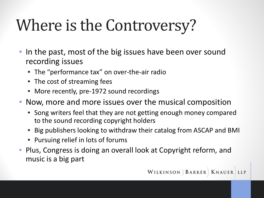## Where is the Controversy?

- In the past, most of the big issues have been over sound recording issues
	- The "performance tax" on over-the-air radio
	- The cost of streaming fees
	- More recently, pre-1972 sound recordings
- Now, more and more issues over the musical composition
	- Song writers feel that they are not getting enough money compared to the sound recording copyright holders
	- Big publishers looking to withdraw their catalog from ASCAP and BMI
	- Pursuing relief in lots of forums
- Plus, Congress is doing an overall look at Copyright reform, and music is a big part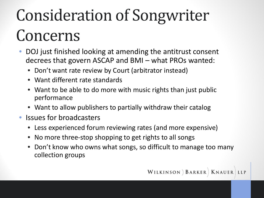# Consideration of Songwriter Concerns

- DOJ just finished looking at amending the antitrust consent decrees that govern ASCAP and BMI – what PROs wanted:
	- Don't want rate review by Court (arbitrator instead)
	- Want different rate standards
	- Want to be able to do more with music rights than just public performance
	- Want to allow publishers to partially withdraw their catalog
- Issues for broadcasters
	- Less experienced forum reviewing rates (and more expensive)
	- No more three-stop shopping to get rights to all songs
	- Don't know who owns what songs, so difficult to manage too many collection groups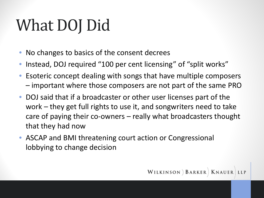## What DOJ Did

- No changes to basics of the consent decrees
- Instead, DOJ required "100 per cent licensing" of "split works"
- Esoteric concept dealing with songs that have multiple composers – important where those composers are not part of the same PRO
- DOJ said that if a broadcaster or other user licenses part of the work – they get full rights to use it, and songwriters need to take care of paying their co-owners – really what broadcasters thought that they had now
- ASCAP and BMI threatening court action or Congressional lobbying to change decision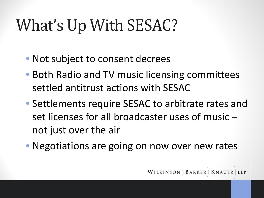## What's Up With SESAC?

- Not subject to consent decrees
- Both Radio and TV music licensing committees settled antitrust actions with SESAC
- Settlements require SESAC to arbitrate rates and set licenses for all broadcaster uses of music – not just over the air
- Negotiations are going on now over new rates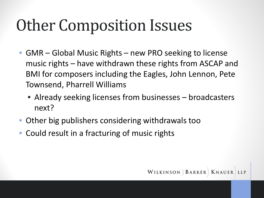#### Other Composition Issues

- GMR Global Music Rights new PRO seeking to license music rights – have withdrawn these rights from ASCAP and BMI for composers including the Eagles, John Lennon, Pete Townsend, Pharrell Williams
	- Already seeking licenses from businesses broadcasters next?
- Other big publishers considering withdrawals too
- Could result in a fracturing of music rights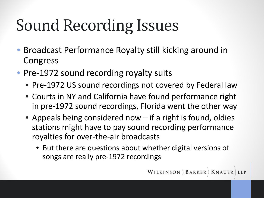## Sound Recording Issues

- Broadcast Performance Royalty still kicking around in Congress
- Pre-1972 sound recording royalty suits
	- Pre-1972 US sound recordings not covered by Federal law
	- Courts in NY and California have found performance right in pre-1972 sound recordings, Florida went the other way
	- Appeals being considered now if a right is found, oldies stations might have to pay sound recording performance royalties for over-the-air broadcasts
		- But there are questions about whether digital versions of songs are really pre-1972 recordings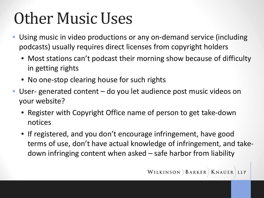#### Other Music Uses

- Using music in video productions or any on-demand service (including podcasts) usually requires direct licenses from copyright holders
	- Most stations can't podcast their morning show because of difficulty in getting rights
	- No one-stop clearing house for such rights
- User- generated content do you let audience post music videos on your website?
	- Register with Copyright Office name of person to get take-down notices
	- If registered, and you don't encourage infringement, have good terms of use, don't have actual knowledge of infringement, and takedown infringing content when asked – safe harbor from liability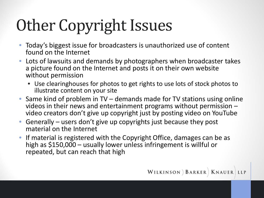# Other Copyright Issues

- Today's biggest issue for broadcasters is unauthorized use of content found on the Internet
- Lots of lawsuits and demands by photographers when broadcaster takes a picture found on the Internet and posts it on their own website without permission
	- Use clearinghouses for photos to get rights to use lots of stock photos to illustrate content on your site
- Same kind of problem in TV demands made for TV stations using online videos in their news and entertainment programs without permission – video creators don't give up copyright just by posting video on YouTube
- Generally users don't give up copyrights just because they post material on the Internet
- If material is registered with the Copyright Office, damages can be as high as \$150,000 – usually lower unless infringement is willful or repeated, but can reach that high